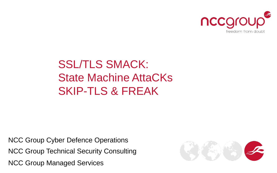

#### SSL/TLS SMACK: State Machine AttaCKs SKIP-TLS & FREAK

NCC Group Managed Services NCC Group Technical Security Consulting NCC Group Cyber Defence Operations

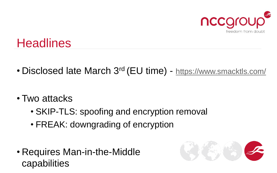

## **Headlines**

- Disclosed late March 3<sup>rd</sup> (EU time) <https://www.smacktls.com/>
- Two attacks
	- SKIP-TLS: spoofing and encryption removal
	- FREAK: downgrading of encryption
- Requires Man-in-the-Middle capabilities

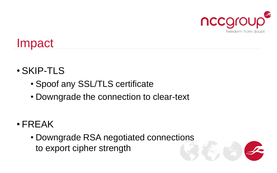

## Impact

- SKIP-TLS
	- Spoof any SSL/TLS certificate
	- Downgrade the connection to clear-text
- FREAK
	- Downgrade RSA negotiated connections to export cipher strength

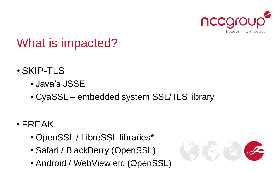

### What is impacted?

- SKIP-TLS
	- Java's JSSE
	- CyaSSL embedded system SSL/TLS library

#### • FREAK

- OpenSSL / LibreSSL libraries\*
- Safari / BlackBerry (OpenSSL)
- Android / WebView etc (OpenSSL)

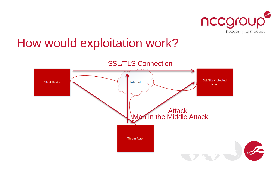

#### How would exploitation work?

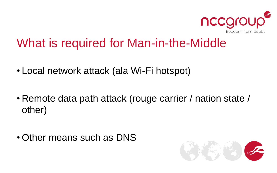

### What is required for Man-in-the-Middle

- Local network attack (ala Wi-Fi hotspot)
- Remote data path attack (rouge carrier / nation state / other)
- Other means such as DNS

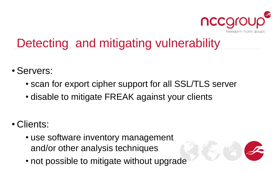

# Detecting and mitigating vulnerability

- Servers:
	- scan for export cipher support for all SSL/TLS server
	- disable to mitigate FREAK against your clients
- Clients:
	- use software inventory management and/or other analysis techniques
	- not possible to mitigate without upgrade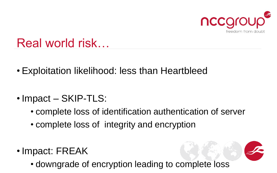

### Real world risk…

- Exploitation likelihood: less than Heartbleed
- Impact SKIP-TLS:
	- complete loss of identification authentication of server
	- complete loss of integrity and encryption
- Impact: FREAK
	- downgrade of encryption leading to complete loss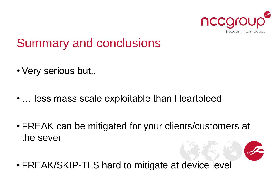

### Summary and conclusions

- Very serious but..
- … less mass scale exploitable than Heartbleed
- FREAK can be mitigated for your clients/customers at the sever

• FREAK/SKIP-TLS hard to mitigate at device level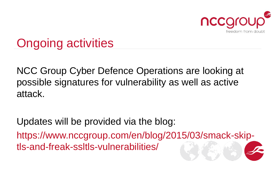

# Ongoing activities

NCC Group Cyber Defence Operations are looking at possible signatures for vulnerability as well as active attack.

Updates will be provided via the blog:

https://www.nccgroup.com/en/blog/2015/03/smack-skiptls-and-freak-ssltls-vulnerabilities/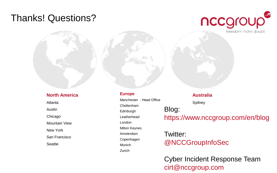#### Thanks! Questions?



#### **North America**

Atlanta Austin Chicago Mountain View New York San Francisco **Seattle** 

#### **Europe**

Manchester - Head Office Cheltenham Edinburgh Leatherhead London Milton Keynes Amsterdam Copenhagen Munich Zurich

#### **Australia** Sydney Blog: https://www.nccgroup.com/en/blog

#### Twitter: @NCCGroupInfoSec

Cyber Incident Response Team cirt@nccgroup.com